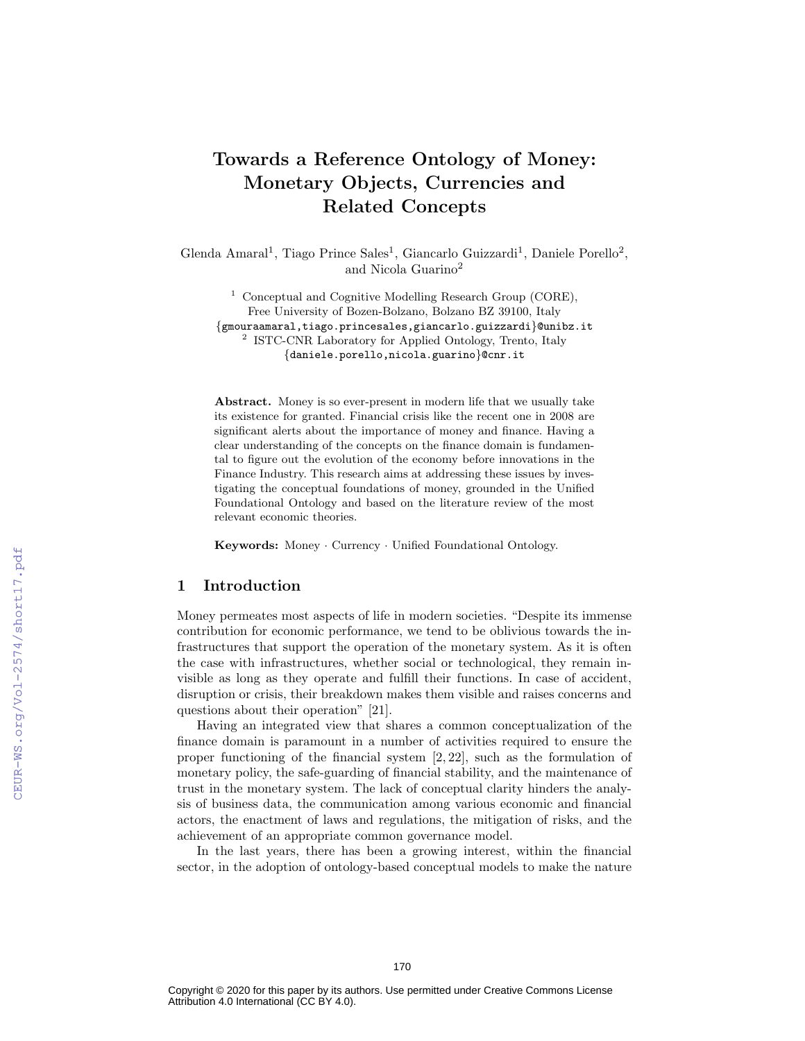# Towards a Reference Ontology of Money: Monetary Objects, Currencies and Related Concepts

Glenda Amaral<sup>1</sup>, Tiago Prince Sales<sup>1</sup>, Giancarlo Guizzardi<sup>1</sup>, Daniele Porello<sup>2</sup>, and Nicola Guarino<sup>2</sup>

<sup>1</sup> Conceptual and Cognitive Modelling Research Group (CORE), Free University of Bozen-Bolzano, Bolzano BZ 39100, Italy {gmouraamaral,tiago.princesales,giancarlo.guizzardi}@unibz.it 2 ISTC-CNR Laboratory for Applied Ontology, Trento, Italy {daniele.porello,nicola.guarino}@cnr.it

Abstract. Money is so ever-present in modern life that we usually take its existence for granted. Financial crisis like the recent one in 2008 are significant alerts about the importance of money and finance. Having a clear understanding of the concepts on the finance domain is fundamental to figure out the evolution of the economy before innovations in the Finance Industry. This research aims at addressing these issues by investigating the conceptual foundations of money, grounded in the Unified Foundational Ontology and based on the literature review of the most relevant economic theories.

Keywords: Money · Currency · Unified Foundational Ontology.

## 1 Introduction

Money permeates most aspects of life in modern societies. "Despite its immense contribution for economic performance, we tend to be oblivious towards the infrastructures that support the operation of the monetary system. As it is often the case with infrastructures, whether social or technological, they remain invisible as long as they operate and fulfill their functions. In case of accident, disruption or crisis, their breakdown makes them visible and raises concerns and questions about their operation" [21].

Having an integrated view that shares a common conceptualization of the finance domain is paramount in a number of activities required to ensure the proper functioning of the financial system [2, 22], such as the formulation of monetary policy, the safe-guarding of financial stability, and the maintenance of trust in the monetary system. The lack of conceptual clarity hinders the analysis of business data, the communication among various economic and financial actors, the enactment of laws and regulations, the mitigation of risks, and the achievement of an appropriate common governance model.

In the last years, there has been a growing interest, within the financial sector, in the adoption of ontology-based conceptual models to make the nature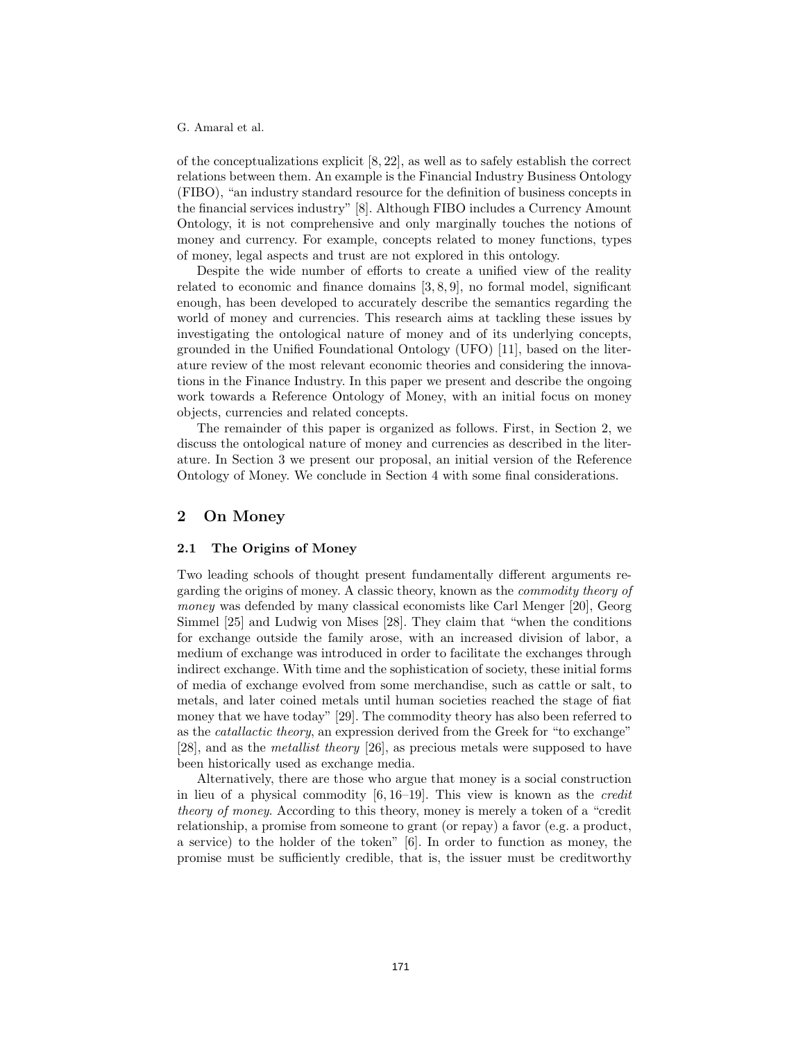of the conceptualizations explicit [8, 22], as well as to safely establish the correct relations between them. An example is the Financial Industry Business Ontology (FIBO), "an industry standard resource for the definition of business concepts in the financial services industry" [8]. Although FIBO includes a Currency Amount Ontology, it is not comprehensive and only marginally touches the notions of money and currency. For example, concepts related to money functions, types of money, legal aspects and trust are not explored in this ontology.

Despite the wide number of efforts to create a unified view of the reality related to economic and finance domains [3, 8, 9], no formal model, significant enough, has been developed to accurately describe the semantics regarding the world of money and currencies. This research aims at tackling these issues by investigating the ontological nature of money and of its underlying concepts, grounded in the Unified Foundational Ontology (UFO) [11], based on the literature review of the most relevant economic theories and considering the innovations in the Finance Industry. In this paper we present and describe the ongoing work towards a Reference Ontology of Money, with an initial focus on money objects, currencies and related concepts.

The remainder of this paper is organized as follows. First, in Section 2, we discuss the ontological nature of money and currencies as described in the literature. In Section 3 we present our proposal, an initial version of the Reference Ontology of Money. We conclude in Section 4 with some final considerations.

## 2 On Money

#### 2.1 The Origins of Money

Two leading schools of thought present fundamentally different arguments regarding the origins of money. A classic theory, known as the commodity theory of money was defended by many classical economists like Carl Menger [20], Georg Simmel [25] and Ludwig von Mises [28]. They claim that "when the conditions for exchange outside the family arose, with an increased division of labor, a medium of exchange was introduced in order to facilitate the exchanges through indirect exchange. With time and the sophistication of society, these initial forms of media of exchange evolved from some merchandise, such as cattle or salt, to metals, and later coined metals until human societies reached the stage of fiat money that we have today" [29]. The commodity theory has also been referred to as the catallactic theory, an expression derived from the Greek for "to exchange" [28], and as the metallist theory [26], as precious metals were supposed to have been historically used as exchange media.

Alternatively, there are those who argue that money is a social construction in lieu of a physical commodity [6, 16–19]. This view is known as the credit theory of money. According to this theory, money is merely a token of a "credit relationship, a promise from someone to grant (or repay) a favor (e.g. a product, a service) to the holder of the token" [6]. In order to function as money, the promise must be sufficiently credible, that is, the issuer must be creditworthy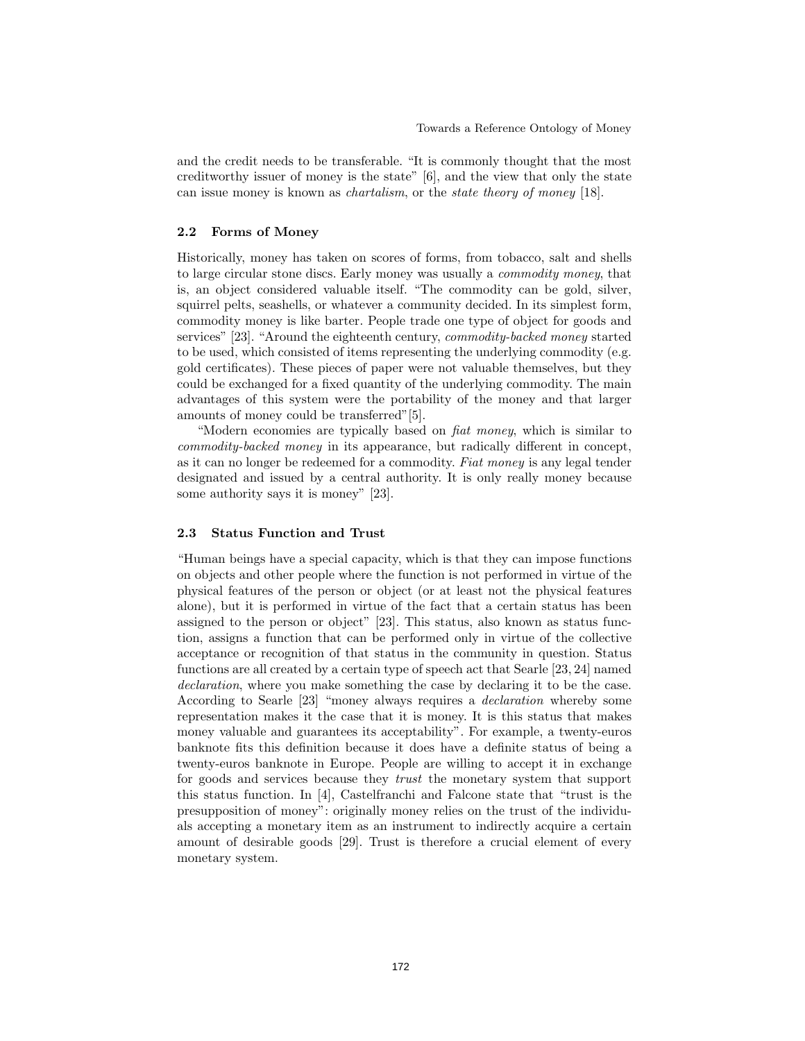and the credit needs to be transferable. "It is commonly thought that the most creditworthy issuer of money is the state" [6], and the view that only the state can issue money is known as chartalism, or the state theory of money [18].

#### 2.2 Forms of Money

Historically, money has taken on scores of forms, from tobacco, salt and shells to large circular stone discs. Early money was usually a commodity money, that is, an object considered valuable itself. "The commodity can be gold, silver, squirrel pelts, seashells, or whatever a community decided. In its simplest form, commodity money is like barter. People trade one type of object for goods and services" [23]. "Around the eighteenth century, commodity-backed money started to be used, which consisted of items representing the underlying commodity (e.g. gold certificates). These pieces of paper were not valuable themselves, but they could be exchanged for a fixed quantity of the underlying commodity. The main advantages of this system were the portability of the money and that larger amounts of money could be transferred"[5].

"Modern economies are typically based on fiat money, which is similar to commodity-backed money in its appearance, but radically different in concept, as it can no longer be redeemed for a commodity. Fiat money is any legal tender designated and issued by a central authority. It is only really money because some authority says it is money" [23].

#### 2.3 Status Function and Trust

"Human beings have a special capacity, which is that they can impose functions on objects and other people where the function is not performed in virtue of the physical features of the person or object (or at least not the physical features alone), but it is performed in virtue of the fact that a certain status has been assigned to the person or object" [23]. This status, also known as status function, assigns a function that can be performed only in virtue of the collective acceptance or recognition of that status in the community in question. Status functions are all created by a certain type of speech act that Searle [23, 24] named declaration, where you make something the case by declaring it to be the case. According to Searle [23] "money always requires a declaration whereby some representation makes it the case that it is money. It is this status that makes money valuable and guarantees its acceptability". For example, a twenty-euros banknote fits this definition because it does have a definite status of being a twenty-euros banknote in Europe. People are willing to accept it in exchange for goods and services because they trust the monetary system that support this status function. In [4], Castelfranchi and Falcone state that "trust is the presupposition of money": originally money relies on the trust of the individuals accepting a monetary item as an instrument to indirectly acquire a certain amount of desirable goods [29]. Trust is therefore a crucial element of every monetary system.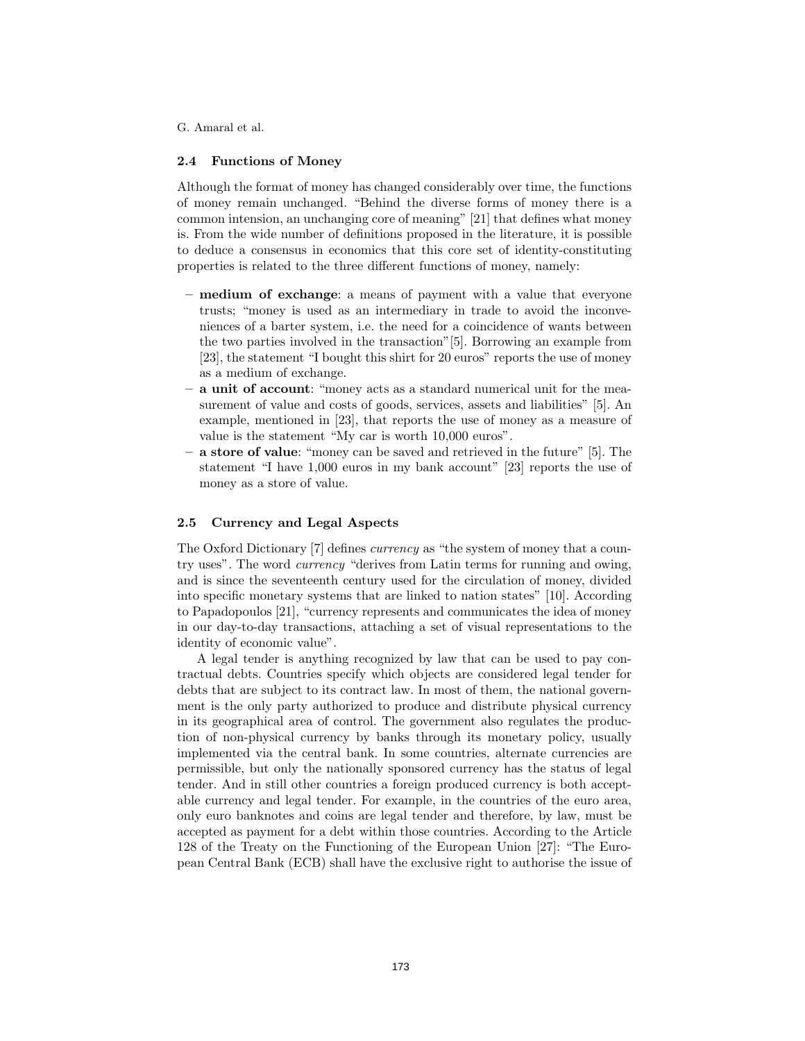#### 2.4 Functions of Money

Although the format of money has changed considerably over time, the functions of money remain unchanged. "Behind the diverse forms of money there is a common intension, an unchanging core of meaning" [21] that defines what money is. From the wide number of definitions proposed in the literature, it is possible to deduce a consensus in economics that this core set of identity-constituting properties is related to the three different functions of money, namely:

- medium of exchange: a means of payment with a value that everyone trusts; "money is used as an intermediary in trade to avoid the inconveniences of a barter system, i.e. the need for a coincidence of wants between the two parties involved in the transaction"[5]. Borrowing an example from [23], the statement "I bought this shirt for 20 euros" reports the use of money as a medium of exchange.
- a unit of account: "money acts as a standard numerical unit for the measurement of value and costs of goods, services, assets and liabilities" [5]. An example, mentioned in [23], that reports the use of money as a measure of value is the statement "My car is worth 10,000 euros".
- a store of value: "money can be saved and retrieved in the future" [5]. The statement "I have 1,000 euros in my bank account" [23] reports the use of money as a store of value.

## 2.5 Currency and Legal Aspects

The Oxford Dictionary [7] defines currency as "the system of money that a country uses". The word currency "derives from Latin terms for running and owing, and is since the seventeenth century used for the circulation of money, divided into specific monetary systems that are linked to nation states" [10]. According to Papadopoulos [21], "currency represents and communicates the idea of money in our day-to-day transactions, attaching a set of visual representations to the identity of economic value".

A legal tender is anything recognized by law that can be used to pay contractual debts. Countries specify which objects are considered legal tender for debts that are subject to its contract law. In most of them, the national government is the only party authorized to produce and distribute physical currency in its geographical area of control. The government also regulates the production of non-physical currency by banks through its monetary policy, usually implemented via the central bank. In some countries, alternate currencies are permissible, but only the nationally sponsored currency has the status of legal tender. And in still other countries a foreign produced currency is both acceptable currency and legal tender. For example, in the countries of the euro area, only euro banknotes and coins are legal tender and therefore, by law, must be accepted as payment for a debt within those countries. According to the Article 128 of the Treaty on the Functioning of the European Union [27]: "The European Central Bank (ECB) shall have the exclusive right to authorise the issue of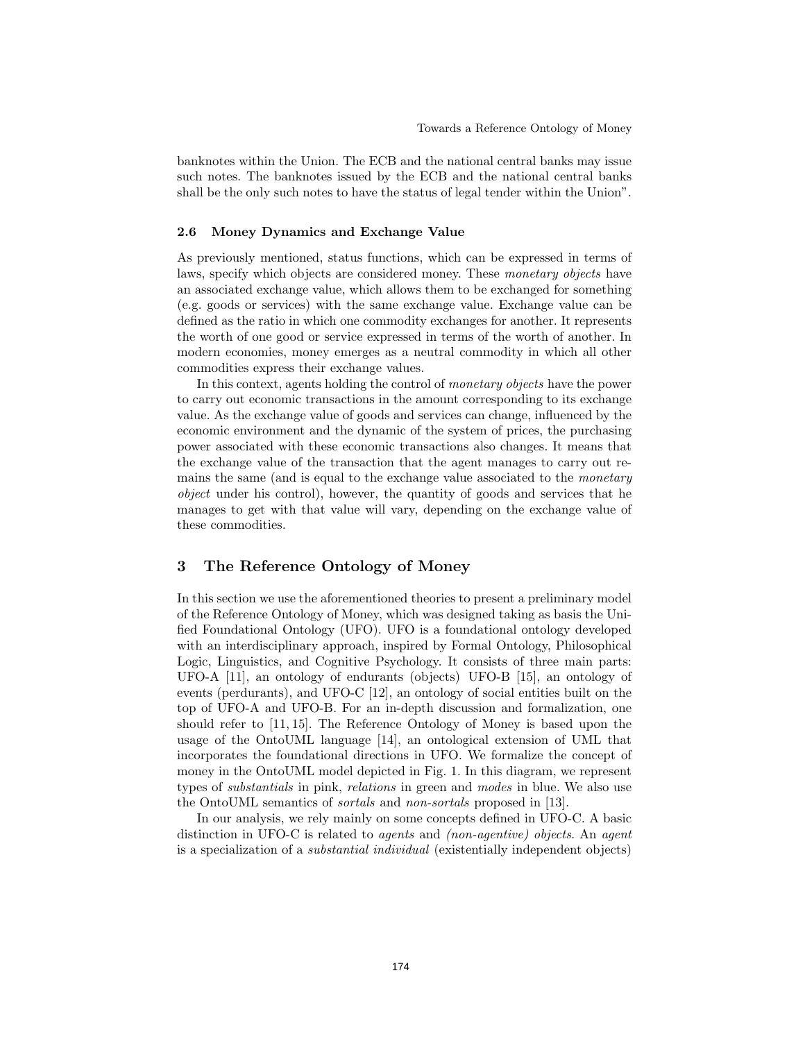banknotes within the Union. The ECB and the national central banks may issue such notes. The banknotes issued by the ECB and the national central banks shall be the only such notes to have the status of legal tender within the Union".

## 2.6 Money Dynamics and Exchange Value

As previously mentioned, status functions, which can be expressed in terms of laws, specify which objects are considered money. These monetary objects have an associated exchange value, which allows them to be exchanged for something (e.g. goods or services) with the same exchange value. Exchange value can be defined as the ratio in which one commodity exchanges for another. It represents the worth of one good or service expressed in terms of the worth of another. In modern economies, money emerges as a neutral commodity in which all other commodities express their exchange values.

In this context, agents holding the control of monetary objects have the power to carry out economic transactions in the amount corresponding to its exchange value. As the exchange value of goods and services can change, influenced by the economic environment and the dynamic of the system of prices, the purchasing power associated with these economic transactions also changes. It means that the exchange value of the transaction that the agent manages to carry out remains the same (and is equal to the exchange value associated to the *monetary* object under his control), however, the quantity of goods and services that he manages to get with that value will vary, depending on the exchange value of these commodities.

## 3 The Reference Ontology of Money

In this section we use the aforementioned theories to present a preliminary model of the Reference Ontology of Money, which was designed taking as basis the Unified Foundational Ontology (UFO). UFO is a foundational ontology developed with an interdisciplinary approach, inspired by Formal Ontology, Philosophical Logic, Linguistics, and Cognitive Psychology. It consists of three main parts: UFO-A [11], an ontology of endurants (objects) UFO-B [15], an ontology of events (perdurants), and UFO-C [12], an ontology of social entities built on the top of UFO-A and UFO-B. For an in-depth discussion and formalization, one should refer to [11, 15]. The Reference Ontology of Money is based upon the usage of the OntoUML language [14], an ontological extension of UML that incorporates the foundational directions in UFO. We formalize the concept of money in the OntoUML model depicted in Fig. 1. In this diagram, we represent types of substantials in pink, relations in green and modes in blue. We also use the OntoUML semantics of sortals and non-sortals proposed in [13].

In our analysis, we rely mainly on some concepts defined in UFO-C. A basic distinction in UFO-C is related to agents and (non-agentive) objects. An agent is a specialization of a substantial individual (existentially independent objects)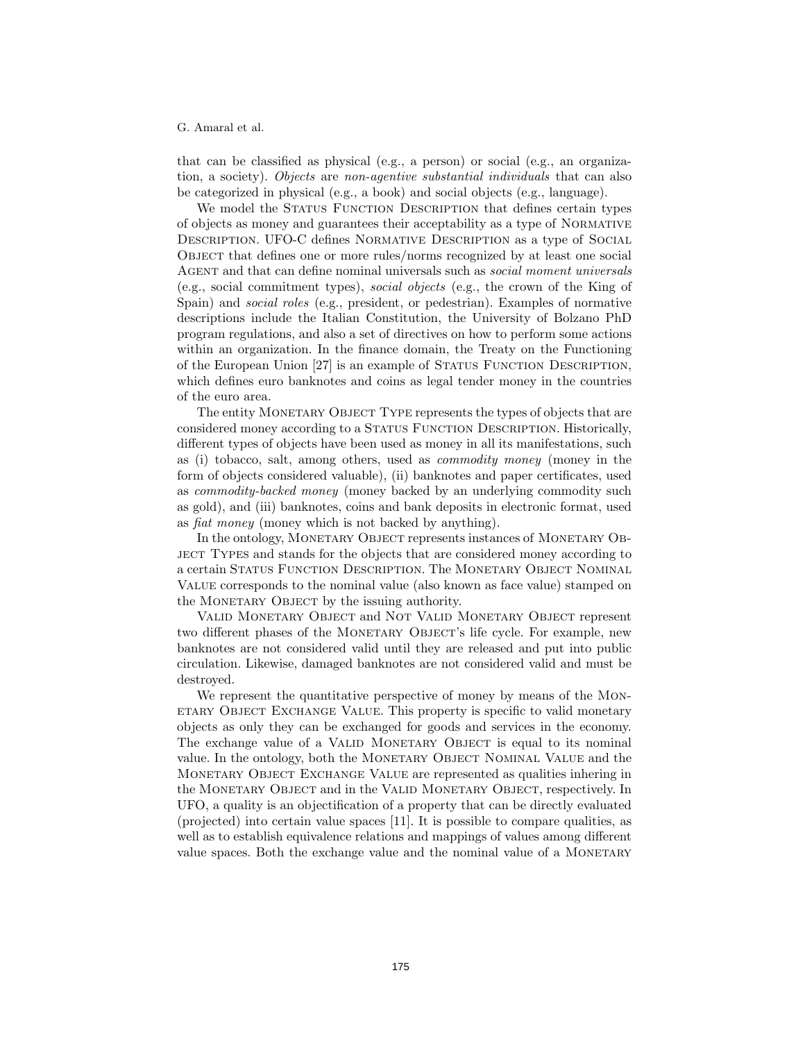that can be classified as physical (e.g., a person) or social (e.g., an organization, a society). Objects are non-agentive substantial individuals that can also be categorized in physical (e.g., a book) and social objects (e.g., language).

We model the STATUS FUNCTION DESCRIPTION that defines certain types of objects as money and guarantees their acceptability as a type of Normative Description. UFO-C defines Normative Description as a type of Social Object that defines one or more rules/norms recognized by at least one social Agent and that can define nominal universals such as social moment universals (e.g., social commitment types), social objects (e.g., the crown of the King of Spain) and social roles (e.g., president, or pedestrian). Examples of normative descriptions include the Italian Constitution, the University of Bolzano PhD program regulations, and also a set of directives on how to perform some actions within an organization. In the finance domain, the Treaty on the Functioning of the European Union [27] is an example of STATUS FUNCTION DESCRIPTION, which defines euro banknotes and coins as legal tender money in the countries of the euro area.

The entity MONETARY OBJECT TYPE represents the types of objects that are considered money according to a STATUS FUNCTION DESCRIPTION. Historically, different types of objects have been used as money in all its manifestations, such as (i) tobacco, salt, among others, used as commodity money (money in the form of objects considered valuable), (ii) banknotes and paper certificates, used as commodity-backed money (money backed by an underlying commodity such as gold), and (iii) banknotes, coins and bank deposits in electronic format, used as fiat money (money which is not backed by anything).

In the ontology, MONETARY OBJECT represents instances of MONETARY OBject Types and stands for the objects that are considered money according to a certain Status Function Description. The Monetary Object Nominal Value corresponds to the nominal value (also known as face value) stamped on the MONETARY OBJECT by the issuing authority.

Valid Monetary Object and Not Valid Monetary Object represent two different phases of the MONETARY OBJECT's life cycle. For example, new banknotes are not considered valid until they are released and put into public circulation. Likewise, damaged banknotes are not considered valid and must be destroyed.

We represent the quantitative perspective of money by means of the MONetary Object Exchange Value. This property is specific to valid monetary objects as only they can be exchanged for goods and services in the economy. The exchange value of a VALID MONETARY OBJECT is equal to its nominal value. In the ontology, both the MONETARY OBJECT NOMINAL VALUE and the Monetary Object Exchange Value are represented as qualities inhering in the Monetary Object and in the Valid Monetary Object, respectively. In UFO, a quality is an objectification of a property that can be directly evaluated (projected) into certain value spaces [11]. It is possible to compare qualities, as well as to establish equivalence relations and mappings of values among different value spaces. Both the exchange value and the nominal value of a MONETARY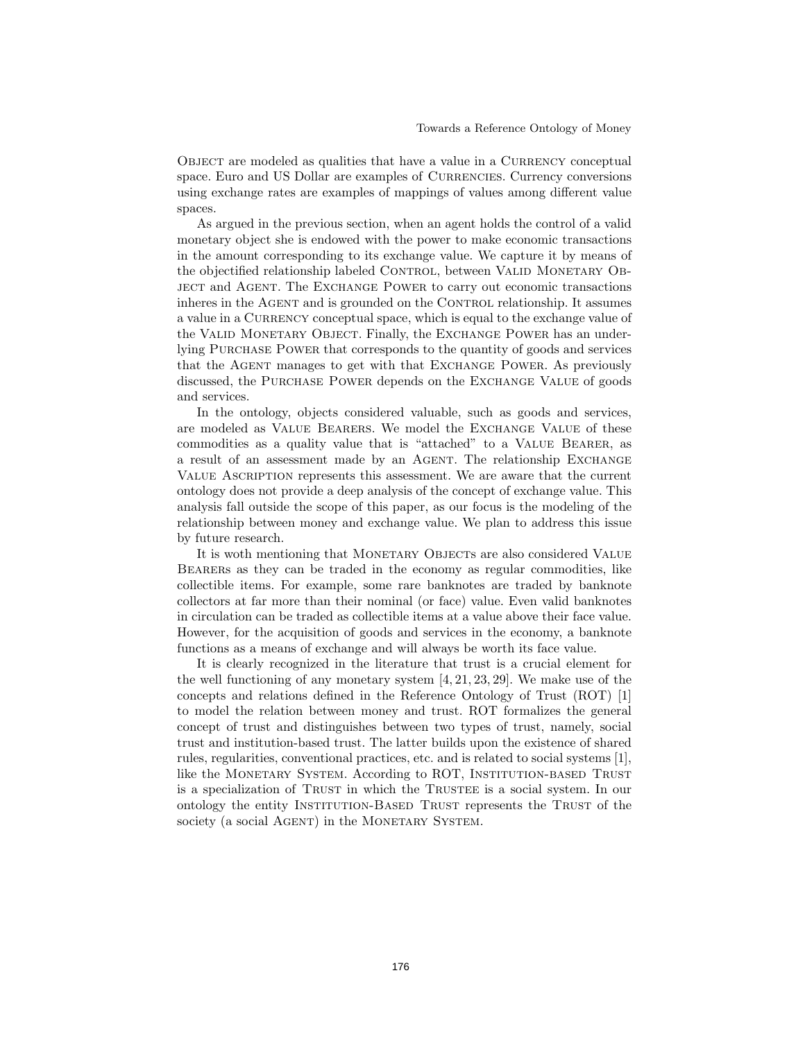OBJECT are modeled as qualities that have a value in a CURRENCY conceptual space. Euro and US Dollar are examples of CURRENCIES. Currency conversions using exchange rates are examples of mappings of values among different value spaces.

As argued in the previous section, when an agent holds the control of a valid monetary object she is endowed with the power to make economic transactions in the amount corresponding to its exchange value. We capture it by means of the objectified relationship labeled CONTROL, between VALID MONETARY OBject and Agent. The Exchange Power to carry out economic transactions inheres in the AGENT and is grounded on the CONTROL relationship. It assumes a value in a CURRENCY conceptual space, which is equal to the exchange value of the VALID MONETARY OBJECT. Finally, the EXCHANGE POWER has an underlying Purchase Power that corresponds to the quantity of goods and services that the AGENT manages to get with that EXCHANGE POWER. As previously discussed, the Purchase Power depends on the Exchange Value of goods and services.

In the ontology, objects considered valuable, such as goods and services, are modeled as Value Bearers. We model the Exchange Value of these commodities as a quality value that is "attached" to a Value Bearer, as a result of an assessment made by an AGENT. The relationship EXCHANGE Value Ascription represents this assessment. We are aware that the current ontology does not provide a deep analysis of the concept of exchange value. This analysis fall outside the scope of this paper, as our focus is the modeling of the relationship between money and exchange value. We plan to address this issue by future research.

It is woth mentioning that MONETARY OBJECTS are also considered VALUE Bearers as they can be traded in the economy as regular commodities, like collectible items. For example, some rare banknotes are traded by banknote collectors at far more than their nominal (or face) value. Even valid banknotes in circulation can be traded as collectible items at a value above their face value. However, for the acquisition of goods and services in the economy, a banknote functions as a means of exchange and will always be worth its face value.

It is clearly recognized in the literature that trust is a crucial element for the well functioning of any monetary system [4, 21, 23, 29]. We make use of the concepts and relations defined in the Reference Ontology of Trust (ROT) [1] to model the relation between money and trust. ROT formalizes the general concept of trust and distinguishes between two types of trust, namely, social trust and institution-based trust. The latter builds upon the existence of shared rules, regularities, conventional practices, etc. and is related to social systems [1], like the MONETARY SYSTEM. According to ROT, INSTITUTION-BASED TRUST is a specialization of TRUST in which the TRUSTEE is a social system. In our ontology the entity Institution-Based Trust represents the Trust of the society (a social AGENT) in the MONETARY SYSTEM.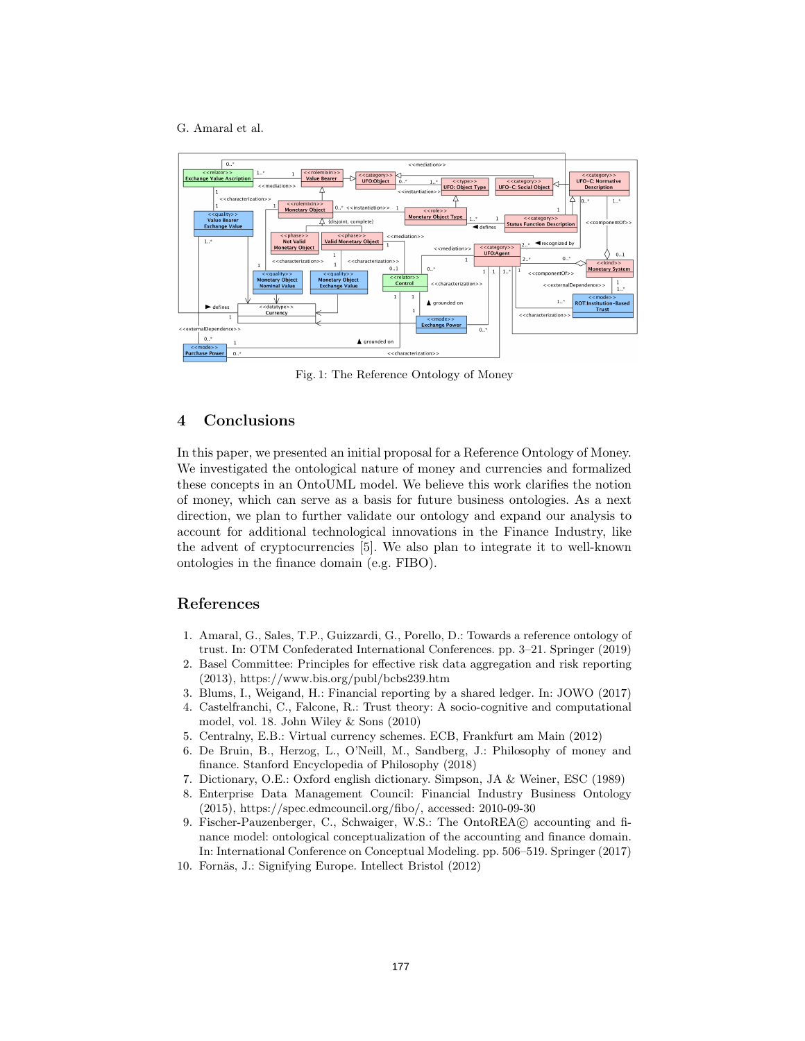

Fig. 1: The Reference Ontology of Money

# 4 Conclusions

In this paper, we presented an initial proposal for a Reference Ontology of Money. We investigated the ontological nature of money and currencies and formalized these concepts in an OntoUML model. We believe this work clarifies the notion of money, which can serve as a basis for future business ontologies. As a next direction, we plan to further validate our ontology and expand our analysis to account for additional technological innovations in the Finance Industry, like the advent of cryptocurrencies [5]. We also plan to integrate it to well-known ontologies in the finance domain (e.g. FIBO).

# References

- 1. Amaral, G., Sales, T.P., Guizzardi, G., Porello, D.: Towards a reference ontology of trust. In: OTM Confederated International Conferences. pp. 3–21. Springer (2019)
- 2. Basel Committee: Principles for effective risk data aggregation and risk reporting (2013), https://www.bis.org/publ/bcbs239.htm
- 3. Blums, I., Weigand, H.: Financial reporting by a shared ledger. In: JOWO (2017)
- 4. Castelfranchi, C., Falcone, R.: Trust theory: A socio-cognitive and computational model, vol. 18. John Wiley & Sons (2010)
- 5. Centralny, E.B.: Virtual currency schemes. ECB, Frankfurt am Main (2012)
- 6. De Bruin, B., Herzog, L., O'Neill, M., Sandberg, J.: Philosophy of money and finance. Stanford Encyclopedia of Philosophy (2018)
- 7. Dictionary, O.E.: Oxford english dictionary. Simpson, JA & Weiner, ESC (1989)
- 8. Enterprise Data Management Council: Financial Industry Business Ontology (2015), https://spec.edmcouncil.org/fibo/, accessed: 2010-09-30
- 9. Fischer-Pauzenberger, C., Schwaiger, W.S.: The OntoREA© accounting and finance model: ontological conceptualization of the accounting and finance domain. In: International Conference on Conceptual Modeling. pp. 506–519. Springer (2017)
- 10. Fornäs, J.: Signifying Europe. Intellect Bristol (2012)